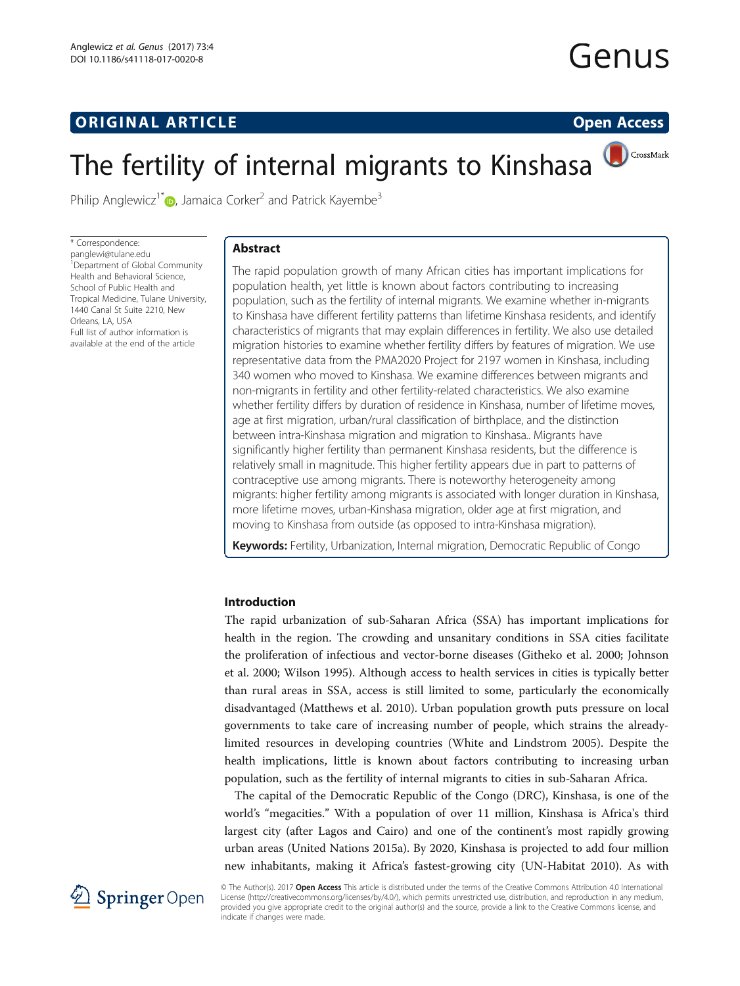### **ORIGINAL ARTICLE CONSERVANCE CONSERVANCE CONSERVANCE CONSERVANCE CONSERVANCE CONSERVANCE CONSERVANCE CONSERVANCE**

# Genus

CrossMark

## The fertility of internal migrants to Kinshasa

Philip Anglewicz<sup>1[\\*](http://orcid.org/0000-0002-7967-3843)</sup> $\bullet$ , Jamaica Corker<sup>2</sup> and Patrick Kayembe<sup>3</sup>

\* Correspondence: [panglewi@tulane.edu](mailto:panglewi@tulane.edu) <sup>1</sup> Department of Global Community Health and Behavioral Science, School of Public Health and Tropical Medicine, Tulane University, 1440 Canal St Suite 2210, New Orleans, LA, USA Full list of author information is available at the end of the article

#### Abstract

The rapid population growth of many African cities has important implications for population health, yet little is known about factors contributing to increasing population, such as the fertility of internal migrants. We examine whether in-migrants to Kinshasa have different fertility patterns than lifetime Kinshasa residents, and identify characteristics of migrants that may explain differences in fertility. We also use detailed migration histories to examine whether fertility differs by features of migration. We use representative data from the PMA2020 Project for 2197 women in Kinshasa, including 340 women who moved to Kinshasa. We examine differences between migrants and non-migrants in fertility and other fertility-related characteristics. We also examine whether fertility differs by duration of residence in Kinshasa, number of lifetime moves, age at first migration, urban/rural classification of birthplace, and the distinction between intra-Kinshasa migration and migration to Kinshasa.. Migrants have significantly higher fertility than permanent Kinshasa residents, but the difference is relatively small in magnitude. This higher fertility appears due in part to patterns of contraceptive use among migrants. There is noteworthy heterogeneity among migrants: higher fertility among migrants is associated with longer duration in Kinshasa, more lifetime moves, urban-Kinshasa migration, older age at first migration, and moving to Kinshasa from outside (as opposed to intra-Kinshasa migration).

Keywords: Fertility, Urbanization, Internal migration, Democratic Republic of Congo

#### Introduction

The rapid urbanization of sub-Saharan Africa (SSA) has important implications for health in the region. The crowding and unsanitary conditions in SSA cities facilitate the proliferation of infectious and vector-borne diseases (Githeko et al. [2000;](#page-17-0) Johnson et al. [2000](#page-17-0); Wilson [1995\)](#page-17-0). Although access to health services in cities is typically better than rural areas in SSA, access is still limited to some, particularly the economically disadvantaged (Matthews et al. [2010\)](#page-17-0). Urban population growth puts pressure on local governments to take care of increasing number of people, which strains the alreadylimited resources in developing countries (White and Lindstrom [2005\)](#page-17-0). Despite the health implications, little is known about factors contributing to increasing urban population, such as the fertility of internal migrants to cities in sub-Saharan Africa.

The capital of the Democratic Republic of the Congo (DRC), Kinshasa, is one of the world's "megacities." With a population of over 11 million, Kinshasa is Africa's third largest city (after Lagos and Cairo) and one of the continent's most rapidly growing urban areas (United Nations [2015](#page-17-0)a). By 2020, Kinshasa is projected to add four million new inhabitants, making it Africa's fastest-growing city (UN-Habitat [2010](#page-17-0)). As with



© The Author(s). 2017 Open Access This article is distributed under the terms of the Creative Commons Attribution 4.0 International License [\(http://creativecommons.org/licenses/by/4.0/](http://creativecommons.org/licenses/by/4.0/)), which permits unrestricted use, distribution, and reproduction in any medium, provided you give appropriate credit to the original author(s) and the source, provide a link to the Creative Commons license, and indicate if changes were made.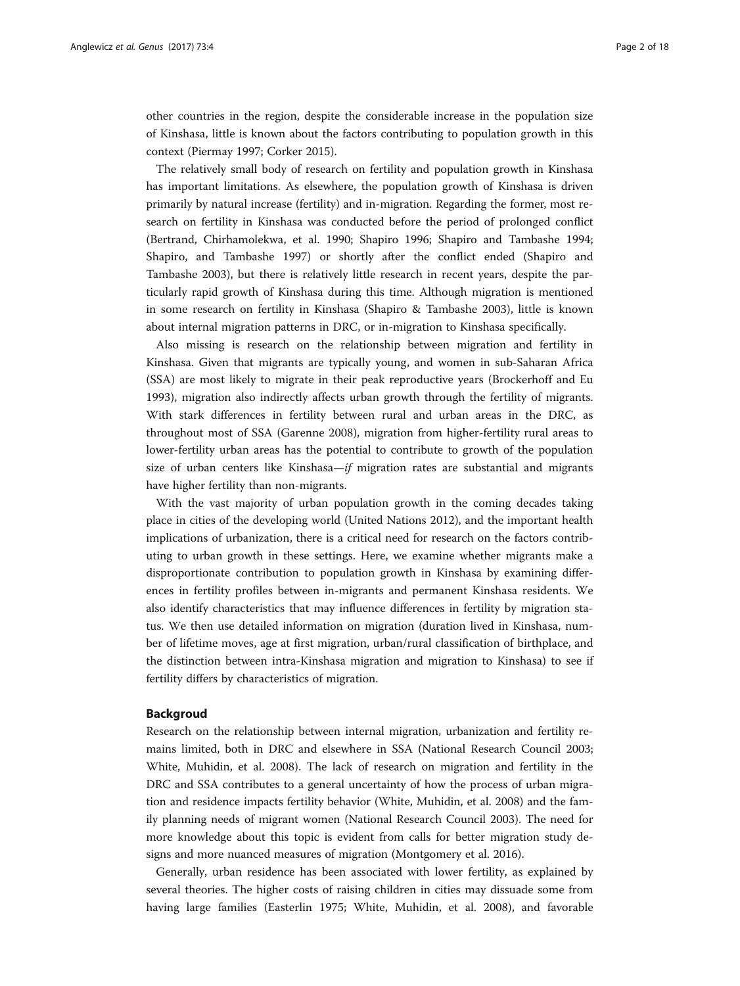other countries in the region, despite the considerable increase in the population size of Kinshasa, little is known about the factors contributing to population growth in this context (Piermay [1997;](#page-17-0) Corker [2015\)](#page-16-0).

The relatively small body of research on fertility and population growth in Kinshasa has important limitations. As elsewhere, the population growth of Kinshasa is driven primarily by natural increase (fertility) and in-migration. Regarding the former, most research on fertility in Kinshasa was conducted before the period of prolonged conflict (Bertrand, Chirhamolekwa, et al. [1990](#page-16-0); Shapiro [1996;](#page-17-0) Shapiro and Tambashe [1994](#page-17-0); Shapiro, and Tambashe [1997](#page-17-0)) or shortly after the conflict ended (Shapiro and Tambashe [2003](#page-17-0)), but there is relatively little research in recent years, despite the particularly rapid growth of Kinshasa during this time. Although migration is mentioned in some research on fertility in Kinshasa (Shapiro & Tambashe [2003\)](#page-17-0), little is known about internal migration patterns in DRC, or in-migration to Kinshasa specifically.

Also missing is research on the relationship between migration and fertility in Kinshasa. Given that migrants are typically young, and women in sub-Saharan Africa (SSA) are most likely to migrate in their peak reproductive years (Brockerhoff and Eu [1993](#page-16-0)), migration also indirectly affects urban growth through the fertility of migrants. With stark differences in fertility between rural and urban areas in the DRC, as throughout most of SSA (Garenne [2008](#page-17-0)), migration from higher-fertility rural areas to lower-fertility urban areas has the potential to contribute to growth of the population size of urban centers like Kinshasa—if migration rates are substantial and migrants have higher fertility than non-migrants.

With the vast majority of urban population growth in the coming decades taking place in cities of the developing world (United Nations [2012](#page-17-0)), and the important health implications of urbanization, there is a critical need for research on the factors contributing to urban growth in these settings. Here, we examine whether migrants make a disproportionate contribution to population growth in Kinshasa by examining differences in fertility profiles between in-migrants and permanent Kinshasa residents. We also identify characteristics that may influence differences in fertility by migration status. We then use detailed information on migration (duration lived in Kinshasa, number of lifetime moves, age at first migration, urban/rural classification of birthplace, and the distinction between intra-Kinshasa migration and migration to Kinshasa) to see if fertility differs by characteristics of migration.

#### Backgroud

Research on the relationship between internal migration, urbanization and fertility remains limited, both in DRC and elsewhere in SSA (National Research Council [2003](#page-17-0); White, Muhidin, et al. [2008](#page-17-0)). The lack of research on migration and fertility in the DRC and SSA contributes to a general uncertainty of how the process of urban migration and residence impacts fertility behavior (White, Muhidin, et al. [2008](#page-17-0)) and the family planning needs of migrant women (National Research Council [2003](#page-17-0)). The need for more knowledge about this topic is evident from calls for better migration study designs and more nuanced measures of migration (Montgomery et al. [2016\)](#page-17-0).

Generally, urban residence has been associated with lower fertility, as explained by several theories. The higher costs of raising children in cities may dissuade some from having large families (Easterlin [1975;](#page-16-0) White, Muhidin, et al. [2008\)](#page-17-0), and favorable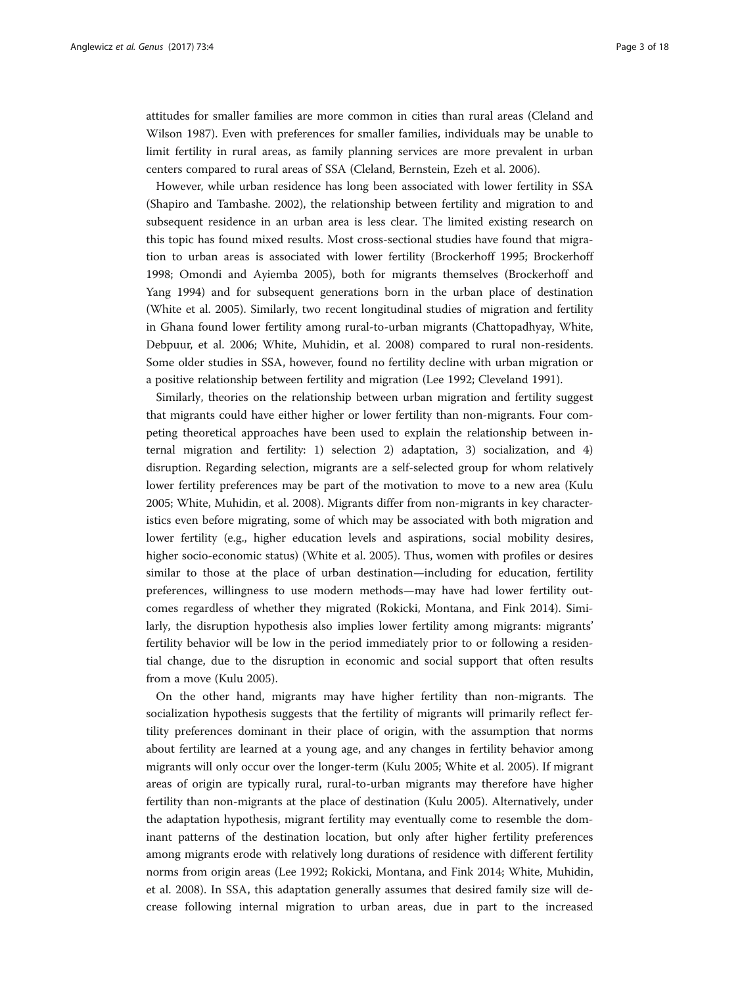attitudes for smaller families are more common in cities than rural areas (Cleland and Wilson [1987](#page-16-0)). Even with preferences for smaller families, individuals may be unable to limit fertility in rural areas, as family planning services are more prevalent in urban centers compared to rural areas of SSA (Cleland, Bernstein, Ezeh et al. [2006\)](#page-16-0).

However, while urban residence has long been associated with lower fertility in SSA (Shapiro and Tambashe. [2002](#page-17-0)), the relationship between fertility and migration to and subsequent residence in an urban area is less clear. The limited existing research on this topic has found mixed results. Most cross-sectional studies have found that migration to urban areas is associated with lower fertility (Brockerhoff [1995;](#page-16-0) Brockerhoff [1998](#page-16-0); Omondi and Ayiemba [2005\)](#page-17-0), both for migrants themselves (Brockerhoff and Yang [1994](#page-16-0)) and for subsequent generations born in the urban place of destination (White et al. [2005\)](#page-17-0). Similarly, two recent longitudinal studies of migration and fertility in Ghana found lower fertility among rural-to-urban migrants (Chattopadhyay, White, Debpuur, et al. [2006;](#page-16-0) White, Muhidin, et al. [2008](#page-17-0)) compared to rural non-residents. Some older studies in SSA, however, found no fertility decline with urban migration or a positive relationship between fertility and migration (Lee [1992](#page-17-0); Cleveland [1991\)](#page-16-0).

Similarly, theories on the relationship between urban migration and fertility suggest that migrants could have either higher or lower fertility than non-migrants. Four competing theoretical approaches have been used to explain the relationship between internal migration and fertility: 1) selection 2) adaptation, 3) socialization, and 4) disruption. Regarding selection, migrants are a self-selected group for whom relatively lower fertility preferences may be part of the motivation to move to a new area (Kulu [2005](#page-17-0); White, Muhidin, et al. [2008](#page-17-0)). Migrants differ from non-migrants in key characteristics even before migrating, some of which may be associated with both migration and lower fertility (e.g., higher education levels and aspirations, social mobility desires, higher socio-economic status) (White et al. [2005\)](#page-17-0). Thus, women with profiles or desires similar to those at the place of urban destination—including for education, fertility preferences, willingness to use modern methods—may have had lower fertility outcomes regardless of whether they migrated (Rokicki, Montana, and Fink [2014](#page-17-0)). Similarly, the disruption hypothesis also implies lower fertility among migrants: migrants' fertility behavior will be low in the period immediately prior to or following a residential change, due to the disruption in economic and social support that often results from a move (Kulu [2005](#page-17-0)).

On the other hand, migrants may have higher fertility than non-migrants. The socialization hypothesis suggests that the fertility of migrants will primarily reflect fertility preferences dominant in their place of origin, with the assumption that norms about fertility are learned at a young age, and any changes in fertility behavior among migrants will only occur over the longer-term (Kulu [2005](#page-17-0); White et al. [2005](#page-17-0)). If migrant areas of origin are typically rural, rural-to-urban migrants may therefore have higher fertility than non-migrants at the place of destination (Kulu [2005](#page-17-0)). Alternatively, under the adaptation hypothesis, migrant fertility may eventually come to resemble the dominant patterns of the destination location, but only after higher fertility preferences among migrants erode with relatively long durations of residence with different fertility norms from origin areas (Lee [1992](#page-17-0); Rokicki, Montana, and Fink [2014;](#page-17-0) White, Muhidin, et al. [2008\)](#page-17-0). In SSA, this adaptation generally assumes that desired family size will decrease following internal migration to urban areas, due in part to the increased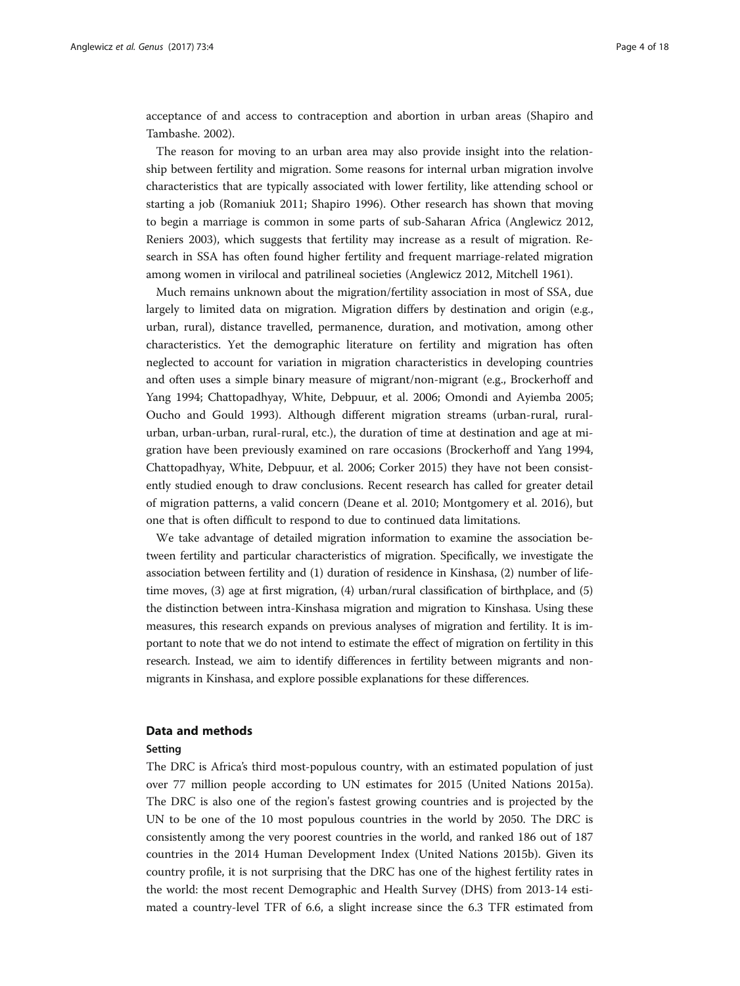acceptance of and access to contraception and abortion in urban areas (Shapiro and Tambashe. [2002\)](#page-17-0).

The reason for moving to an urban area may also provide insight into the relationship between fertility and migration. Some reasons for internal urban migration involve characteristics that are typically associated with lower fertility, like attending school or starting a job (Romaniuk [2011;](#page-17-0) Shapiro [1996](#page-17-0)). Other research has shown that moving to begin a marriage is common in some parts of sub-Saharan Africa (Anglewicz [2012](#page-16-0), Reniers [2003](#page-17-0)), which suggests that fertility may increase as a result of migration. Research in SSA has often found higher fertility and frequent marriage-related migration among women in virilocal and patrilineal societies (Anglewicz [2012](#page-16-0), Mitchell [1961\)](#page-17-0).

Much remains unknown about the migration/fertility association in most of SSA, due largely to limited data on migration. Migration differs by destination and origin (e.g., urban, rural), distance travelled, permanence, duration, and motivation, among other characteristics. Yet the demographic literature on fertility and migration has often neglected to account for variation in migration characteristics in developing countries and often uses a simple binary measure of migrant/non-migrant (e.g., Brockerhoff and Yang [1994](#page-16-0); Chattopadhyay, White, Debpuur, et al. [2006](#page-16-0); Omondi and Ayiemba [2005](#page-17-0); Oucho and Gould [1993](#page-17-0)). Although different migration streams (urban-rural, ruralurban, urban-urban, rural-rural, etc.), the duration of time at destination and age at migration have been previously examined on rare occasions (Brockerhoff and Yang [1994](#page-16-0), Chattopadhyay, White, Debpuur, et al. [2006;](#page-16-0) Corker [2015\)](#page-16-0) they have not been consistently studied enough to draw conclusions. Recent research has called for greater detail of migration patterns, a valid concern (Deane et al. [2010](#page-16-0); Montgomery et al. [2016\)](#page-17-0), but one that is often difficult to respond to due to continued data limitations.

We take advantage of detailed migration information to examine the association between fertility and particular characteristics of migration. Specifically, we investigate the association between fertility and (1) duration of residence in Kinshasa, (2) number of lifetime moves, (3) age at first migration, (4) urban/rural classification of birthplace, and (5) the distinction between intra-Kinshasa migration and migration to Kinshasa. Using these measures, this research expands on previous analyses of migration and fertility. It is important to note that we do not intend to estimate the effect of migration on fertility in this research. Instead, we aim to identify differences in fertility between migrants and nonmigrants in Kinshasa, and explore possible explanations for these differences.

#### Data and methods

#### Setting

The DRC is Africa's third most-populous country, with an estimated population of just over 77 million people according to UN estimates for 2015 (United Nations [2015a](#page-17-0)). The DRC is also one of the region's fastest growing countries and is projected by the UN to be one of the 10 most populous countries in the world by 2050. The DRC is consistently among the very poorest countries in the world, and ranked 186 out of 187 countries in the 2014 Human Development Index (United Nations [2015](#page-17-0)b). Given its country profile, it is not surprising that the DRC has one of the highest fertility rates in the world: the most recent Demographic and Health Survey (DHS) from 2013-14 estimated a country-level TFR of 6.6, a slight increase since the 6.3 TFR estimated from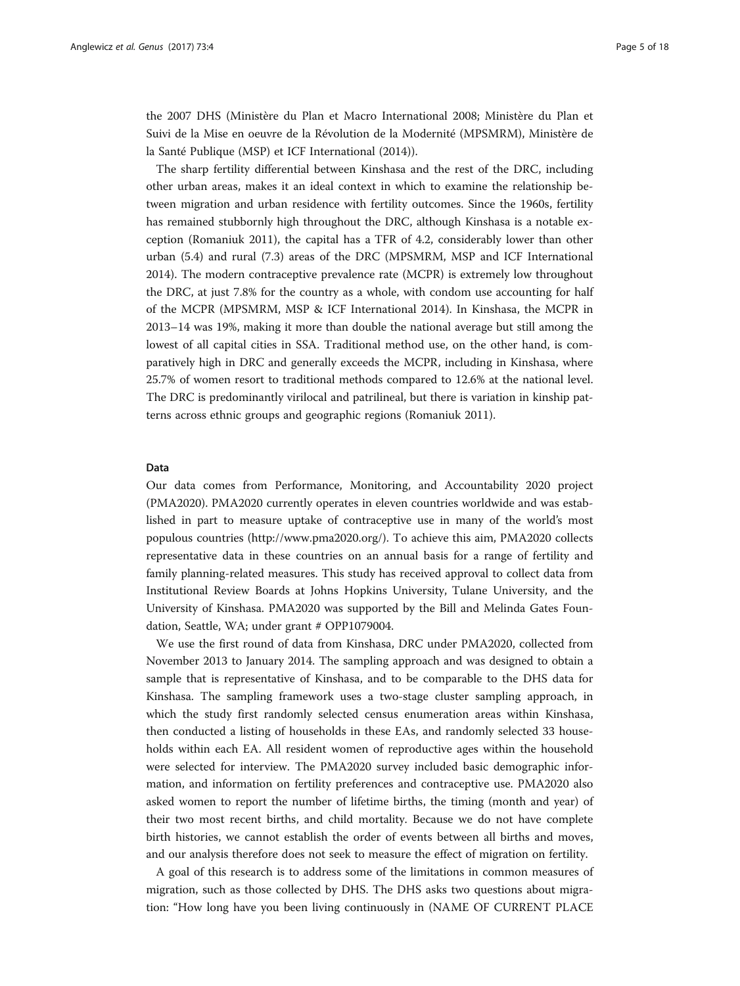the 2007 DHS (Ministère du Plan et Macro International [2008](#page-17-0); Ministère du Plan et Suivi de la Mise en oeuvre de la Révolution de la Modernité (MPSMRM), Ministère de la Santé Publique (MSP) et ICF International [\(2014\)](#page-17-0)).

The sharp fertility differential between Kinshasa and the rest of the DRC, including other urban areas, makes it an ideal context in which to examine the relationship between migration and urban residence with fertility outcomes. Since the 1960s, fertility has remained stubbornly high throughout the DRC, although Kinshasa is a notable exception (Romaniuk [2011](#page-17-0)), the capital has a TFR of 4.2, considerably lower than other urban (5.4) and rural (7.3) areas of the DRC (MPSMRM, MSP and ICF International [2014](#page-17-0)). The modern contraceptive prevalence rate (MCPR) is extremely low throughout the DRC, at just 7.8% for the country as a whole, with condom use accounting for half of the MCPR (MPSMRM, MSP & ICF International [2014\)](#page-17-0). In Kinshasa, the MCPR in 2013–14 was 19%, making it more than double the national average but still among the lowest of all capital cities in SSA. Traditional method use, on the other hand, is comparatively high in DRC and generally exceeds the MCPR, including in Kinshasa, where 25.7% of women resort to traditional methods compared to 12.6% at the national level. The DRC is predominantly virilocal and patrilineal, but there is variation in kinship patterns across ethnic groups and geographic regions (Romaniuk [2011\)](#page-17-0).

#### Data

Our data comes from Performance, Monitoring, and Accountability 2020 project (PMA2020). PMA2020 currently operates in eleven countries worldwide and was established in part to measure uptake of contraceptive use in many of the world's most populous countries [\(http://www.pma2020.org/\)](http://www.pma2020.org/). To achieve this aim, PMA2020 collects representative data in these countries on an annual basis for a range of fertility and family planning-related measures. This study has received approval to collect data from Institutional Review Boards at Johns Hopkins University, Tulane University, and the University of Kinshasa. PMA2020 was supported by the Bill and Melinda Gates Foundation, Seattle, WA; under grant # OPP1079004.

We use the first round of data from Kinshasa, DRC under PMA2020, collected from November 2013 to January 2014. The sampling approach and was designed to obtain a sample that is representative of Kinshasa, and to be comparable to the DHS data for Kinshasa. The sampling framework uses a two-stage cluster sampling approach, in which the study first randomly selected census enumeration areas within Kinshasa, then conducted a listing of households in these EAs, and randomly selected 33 households within each EA. All resident women of reproductive ages within the household were selected for interview. The PMA2020 survey included basic demographic information, and information on fertility preferences and contraceptive use. PMA2020 also asked women to report the number of lifetime births, the timing (month and year) of their two most recent births, and child mortality. Because we do not have complete birth histories, we cannot establish the order of events between all births and moves, and our analysis therefore does not seek to measure the effect of migration on fertility.

A goal of this research is to address some of the limitations in common measures of migration, such as those collected by DHS. The DHS asks two questions about migration: "How long have you been living continuously in (NAME OF CURRENT PLACE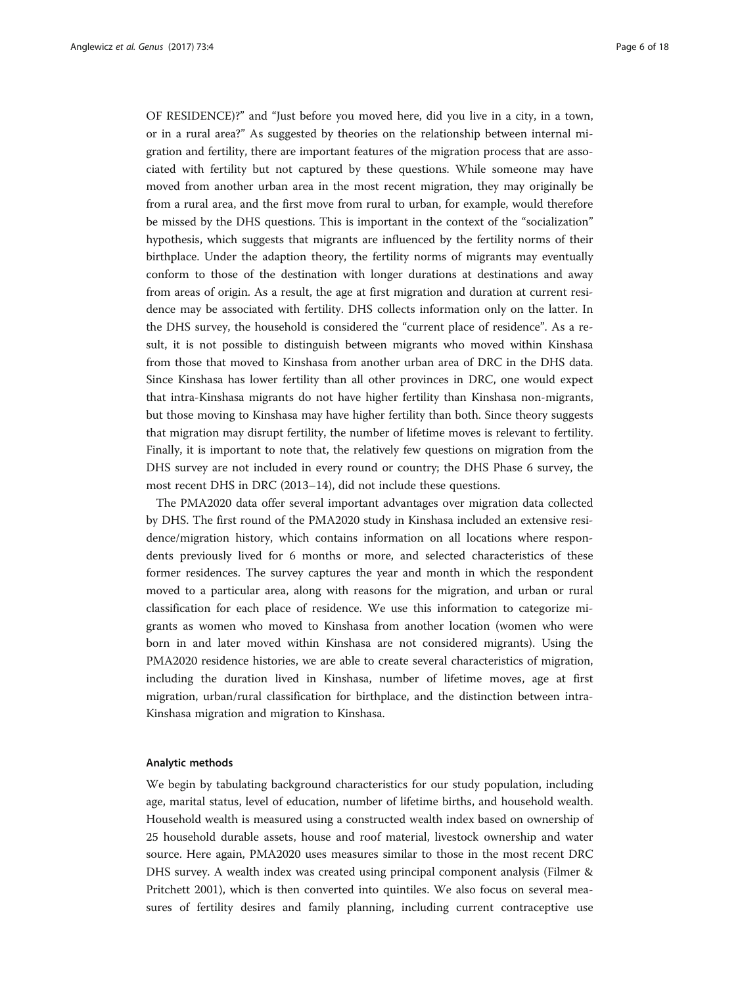OF RESIDENCE)?" and "Just before you moved here, did you live in a city, in a town, or in a rural area?" As suggested by theories on the relationship between internal migration and fertility, there are important features of the migration process that are associated with fertility but not captured by these questions. While someone may have moved from another urban area in the most recent migration, they may originally be from a rural area, and the first move from rural to urban, for example, would therefore be missed by the DHS questions. This is important in the context of the "socialization" hypothesis, which suggests that migrants are influenced by the fertility norms of their birthplace. Under the adaption theory, the fertility norms of migrants may eventually conform to those of the destination with longer durations at destinations and away from areas of origin. As a result, the age at first migration and duration at current residence may be associated with fertility. DHS collects information only on the latter. In the DHS survey, the household is considered the "current place of residence". As a result, it is not possible to distinguish between migrants who moved within Kinshasa from those that moved to Kinshasa from another urban area of DRC in the DHS data. Since Kinshasa has lower fertility than all other provinces in DRC, one would expect that intra-Kinshasa migrants do not have higher fertility than Kinshasa non-migrants, but those moving to Kinshasa may have higher fertility than both. Since theory suggests that migration may disrupt fertility, the number of lifetime moves is relevant to fertility. Finally, it is important to note that, the relatively few questions on migration from the DHS survey are not included in every round or country; the DHS Phase 6 survey, the most recent DHS in DRC (2013–14), did not include these questions.

The PMA2020 data offer several important advantages over migration data collected by DHS. The first round of the PMA2020 study in Kinshasa included an extensive residence/migration history, which contains information on all locations where respondents previously lived for 6 months or more, and selected characteristics of these former residences. The survey captures the year and month in which the respondent moved to a particular area, along with reasons for the migration, and urban or rural classification for each place of residence. We use this information to categorize migrants as women who moved to Kinshasa from another location (women who were born in and later moved within Kinshasa are not considered migrants). Using the PMA2020 residence histories, we are able to create several characteristics of migration, including the duration lived in Kinshasa, number of lifetime moves, age at first migration, urban/rural classification for birthplace, and the distinction between intra-Kinshasa migration and migration to Kinshasa.

#### Analytic methods

We begin by tabulating background characteristics for our study population, including age, marital status, level of education, number of lifetime births, and household wealth. Household wealth is measured using a constructed wealth index based on ownership of 25 household durable assets, house and roof material, livestock ownership and water source. Here again, PMA2020 uses measures similar to those in the most recent DRC DHS survey. A wealth index was created using principal component analysis (Filmer & Pritchett [2001](#page-17-0)), which is then converted into quintiles. We also focus on several measures of fertility desires and family planning, including current contraceptive use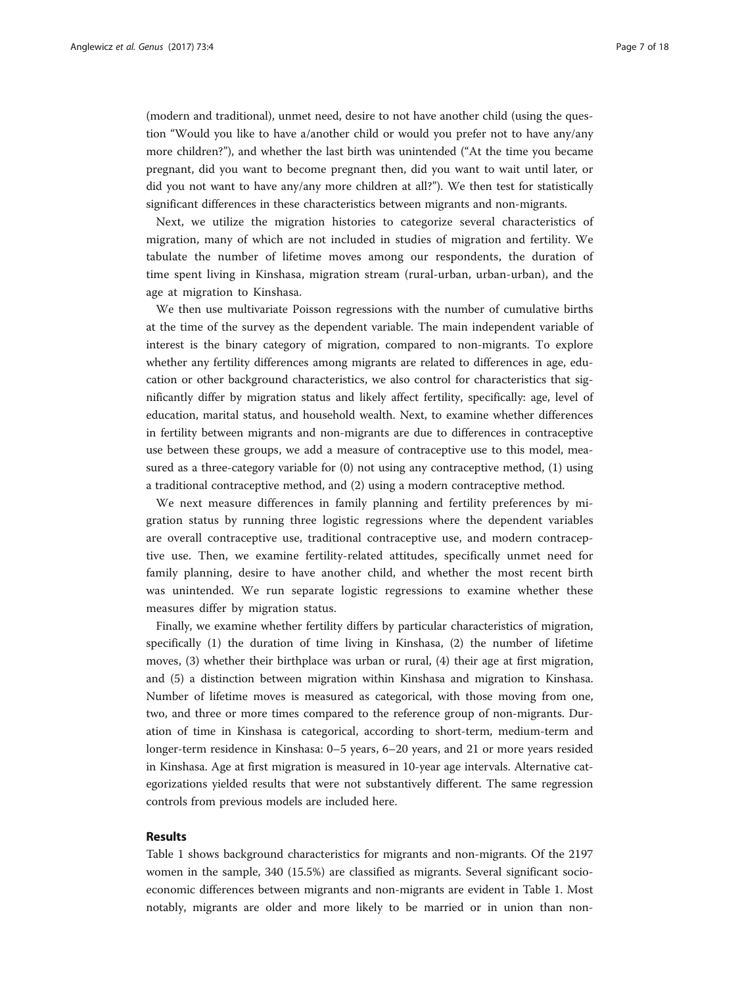(modern and traditional), unmet need, desire to not have another child (using the question "Would you like to have a/another child or would you prefer not to have any/any more children?"), and whether the last birth was unintended ("At the time you became pregnant, did you want to become pregnant then, did you want to wait until later, or did you not want to have any/any more children at all?"). We then test for statistically significant differences in these characteristics between migrants and non-migrants.

Next, we utilize the migration histories to categorize several characteristics of migration, many of which are not included in studies of migration and fertility. We tabulate the number of lifetime moves among our respondents, the duration of time spent living in Kinshasa, migration stream (rural-urban, urban-urban), and the age at migration to Kinshasa.

We then use multivariate Poisson regressions with the number of cumulative births at the time of the survey as the dependent variable. The main independent variable of interest is the binary category of migration, compared to non-migrants. To explore whether any fertility differences among migrants are related to differences in age, education or other background characteristics, we also control for characteristics that significantly differ by migration status and likely affect fertility, specifically: age, level of education, marital status, and household wealth. Next, to examine whether differences in fertility between migrants and non-migrants are due to differences in contraceptive use between these groups, we add a measure of contraceptive use to this model, measured as a three-category variable for (0) not using any contraceptive method, (1) using a traditional contraceptive method, and (2) using a modern contraceptive method.

We next measure differences in family planning and fertility preferences by migration status by running three logistic regressions where the dependent variables are overall contraceptive use, traditional contraceptive use, and modern contraceptive use. Then, we examine fertility-related attitudes, specifically unmet need for family planning, desire to have another child, and whether the most recent birth was unintended. We run separate logistic regressions to examine whether these measures differ by migration status.

Finally, we examine whether fertility differs by particular characteristics of migration, specifically (1) the duration of time living in Kinshasa, (2) the number of lifetime moves, (3) whether their birthplace was urban or rural, (4) their age at first migration, and (5) a distinction between migration within Kinshasa and migration to Kinshasa. Number of lifetime moves is measured as categorical, with those moving from one, two, and three or more times compared to the reference group of non-migrants. Duration of time in Kinshasa is categorical, according to short-term, medium-term and longer-term residence in Kinshasa: 0–5 years, 6–20 years, and 21 or more years resided in Kinshasa. Age at first migration is measured in 10-year age intervals. Alternative categorizations yielded results that were not substantively different. The same regression controls from previous models are included here.

#### Results

Table [1](#page-7-0) shows background characteristics for migrants and non-migrants. Of the 2197 women in the sample, 340 (15.5%) are classified as migrants. Several significant socioeconomic differences between migrants and non-migrants are evident in Table [1](#page-7-0). Most notably, migrants are older and more likely to be married or in union than non-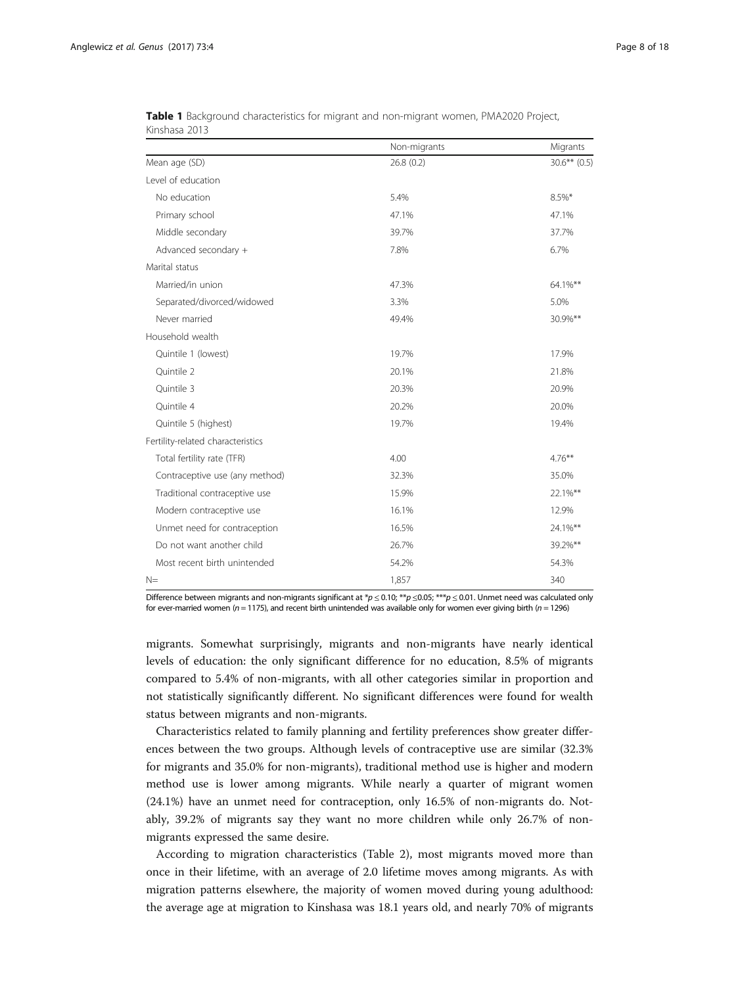|                                   | Non-migrants | Migrants        |
|-----------------------------------|--------------|-----------------|
| Mean age (SD)                     | 26.8(0.2)    | $30.6***$ (0.5) |
| Level of education                |              |                 |
| No education                      | 5.4%         | 8.5%*           |
| Primary school                    | 47.1%        | 47.1%           |
| Middle secondary                  | 39.7%        | 37.7%           |
| Advanced secondary +              | 7.8%         | 6.7%            |
| Marital status                    |              |                 |
| Married/in union                  | 47.3%        | 64.1%**         |
| Separated/divorced/widowed        | 3.3%         | 5.0%            |
| Never married                     | 49.4%        | 30.9%**         |
| Household wealth                  |              |                 |
| Quintile 1 (lowest)               | 19.7%        | 17.9%           |
| Ouintile 2                        | 20.1%        | 21.8%           |
| Quintile 3                        | 20.3%        | 20.9%           |
| Quintile 4                        | 20.2%        | 20.0%           |
| Quintile 5 (highest)              | 19.7%        | 19.4%           |
| Fertility-related characteristics |              |                 |
| Total fertility rate (TFR)        | 4.00         | $4.76***$       |
| Contraceptive use (any method)    | 32.3%        | 35.0%           |
| Traditional contraceptive use     | 15.9%        | 22.1%**         |
| Modern contraceptive use          | 16.1%        | 12.9%           |
| Unmet need for contraception      | 16.5%        | 24.1%**         |
| Do not want another child         | 26.7%        | 39.2%**         |
| Most recent birth unintended      | 54.2%        | 54.3%           |
| $N =$                             | 1,857        | 340             |
|                                   |              |                 |

<span id="page-7-0"></span>Table 1 Background characteristics for migrant and non-migrant women, PMA2020 Project, Kinshasa 2013

Difference between migrants and non-migrants significant at \*p ≤ 0.10; \*\*p ≤ 0.05; \*\*\*p ≤ 0.01. Unmet need was calculated only for ever-married women (n = 1175), and recent birth unintended was available only for women ever giving birth (n = 1296)

migrants. Somewhat surprisingly, migrants and non-migrants have nearly identical levels of education: the only significant difference for no education, 8.5% of migrants compared to 5.4% of non-migrants, with all other categories similar in proportion and not statistically significantly different. No significant differences were found for wealth status between migrants and non-migrants.

Characteristics related to family planning and fertility preferences show greater differences between the two groups. Although levels of contraceptive use are similar (32.3% for migrants and 35.0% for non-migrants), traditional method use is higher and modern method use is lower among migrants. While nearly a quarter of migrant women (24.1%) have an unmet need for contraception, only 16.5% of non-migrants do. Notably, 39.2% of migrants say they want no more children while only 26.7% of nonmigrants expressed the same desire.

According to migration characteristics (Table [2\)](#page-8-0), most migrants moved more than once in their lifetime, with an average of 2.0 lifetime moves among migrants. As with migration patterns elsewhere, the majority of women moved during young adulthood: the average age at migration to Kinshasa was 18.1 years old, and nearly 70% of migrants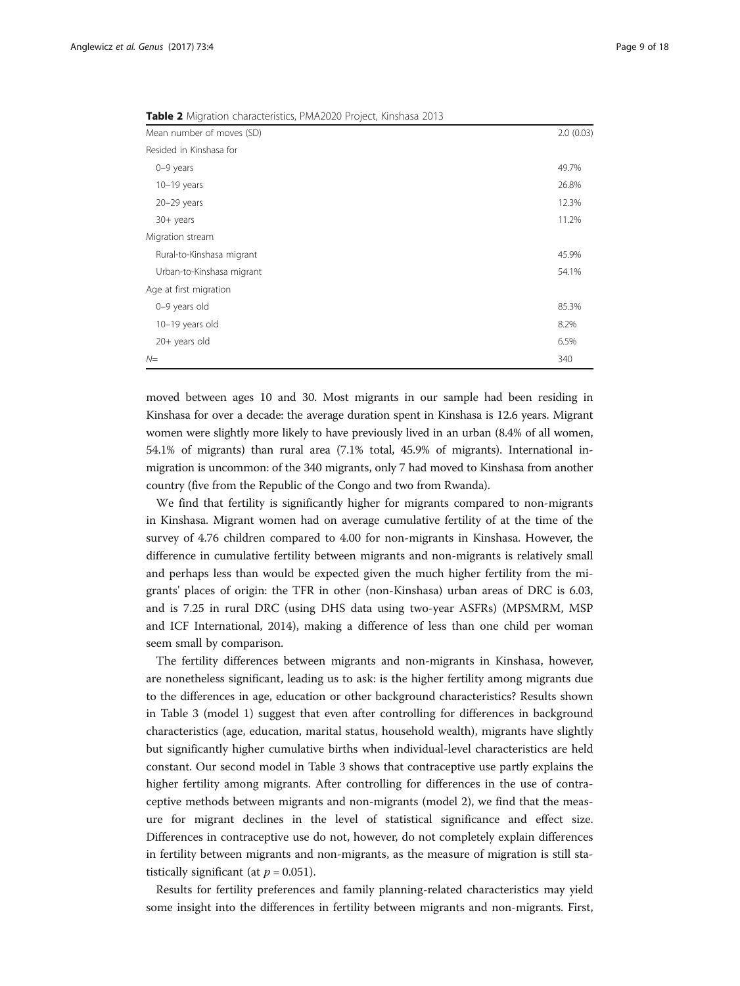<span id="page-8-0"></span>Table 2 Migration characteristics, PMA2020 Project, Kinshasa 2013

| Mean number of moves (SD) | 2.0(0.03) |
|---------------------------|-----------|
| Resided in Kinshasa for   |           |
| $0 - 9$ years             | 49.7%     |
| $10-19$ years             | 26.8%     |
| $20 - 29$ years           | 12.3%     |
| $30+$ years               | 11.2%     |
| Migration stream          |           |
| Rural-to-Kinshasa migrant | 45.9%     |
| Urban-to-Kinshasa migrant | 54.1%     |
| Age at first migration    |           |
| 0-9 years old             | 85.3%     |
| 10-19 years old           | 8.2%      |
| 20+ years old             | 6.5%      |
| $N =$                     | 340       |

moved between ages 10 and 30. Most migrants in our sample had been residing in Kinshasa for over a decade: the average duration spent in Kinshasa is 12.6 years. Migrant women were slightly more likely to have previously lived in an urban (8.4% of all women, 54.1% of migrants) than rural area (7.1% total, 45.9% of migrants). International inmigration is uncommon: of the 340 migrants, only 7 had moved to Kinshasa from another country (five from the Republic of the Congo and two from Rwanda).

We find that fertility is significantly higher for migrants compared to non-migrants in Kinshasa. Migrant women had on average cumulative fertility of at the time of the survey of 4.76 children compared to 4.00 for non-migrants in Kinshasa. However, the difference in cumulative fertility between migrants and non-migrants is relatively small and perhaps less than would be expected given the much higher fertility from the migrants' places of origin: the TFR in other (non-Kinshasa) urban areas of DRC is 6.03, and is 7.25 in rural DRC (using DHS data using two-year ASFRs) (MPSMRM, MSP and ICF International, [2014](#page-17-0)), making a difference of less than one child per woman seem small by comparison.

The fertility differences between migrants and non-migrants in Kinshasa, however, are nonetheless significant, leading us to ask: is the higher fertility among migrants due to the differences in age, education or other background characteristics? Results shown in Table [3](#page-9-0) (model 1) suggest that even after controlling for differences in background characteristics (age, education, marital status, household wealth), migrants have slightly but significantly higher cumulative births when individual-level characteristics are held constant. Our second model in Table [3](#page-9-0) shows that contraceptive use partly explains the higher fertility among migrants. After controlling for differences in the use of contraceptive methods between migrants and non-migrants (model 2), we find that the measure for migrant declines in the level of statistical significance and effect size. Differences in contraceptive use do not, however, do not completely explain differences in fertility between migrants and non-migrants, as the measure of migration is still statistically significant (at  $p = 0.051$ ).

Results for fertility preferences and family planning-related characteristics may yield some insight into the differences in fertility between migrants and non-migrants. First,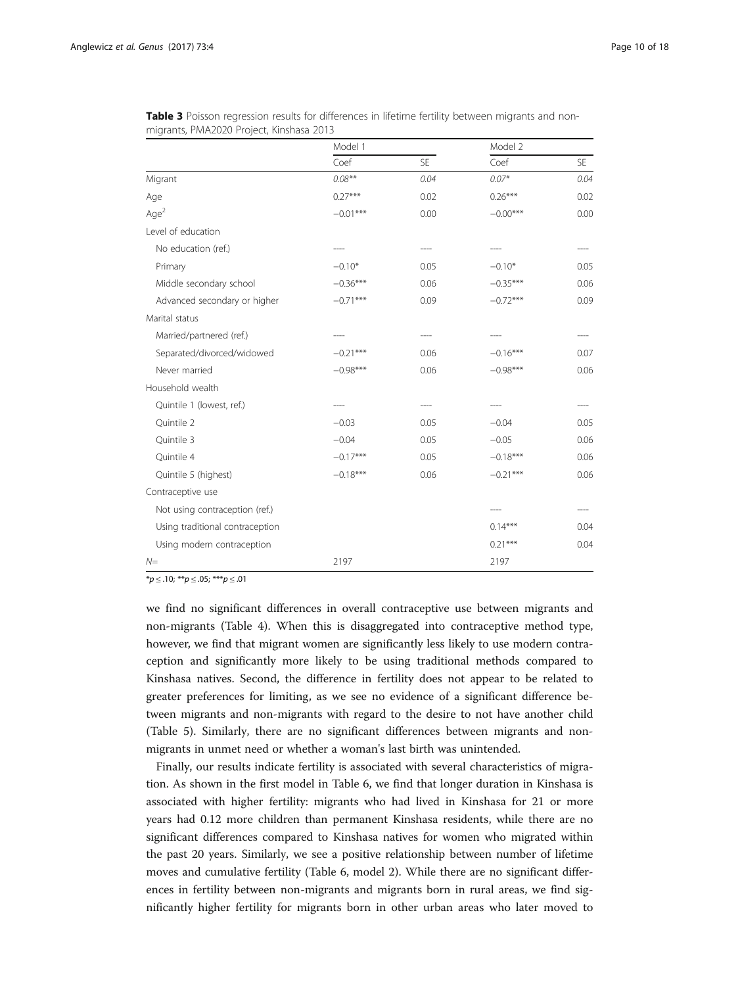|                                 | Model 1    |           | Model 2    |           |
|---------------------------------|------------|-----------|------------|-----------|
|                                 | Coef       | <b>SE</b> | Coef       | <b>SE</b> |
| Migrant                         | $0.08***$  | 0.04      | $0.07*$    | 0.04      |
| Age                             | $0.27***$  | 0.02      | $0.26***$  | 0.02      |
| Age <sup>2</sup>                | $-0.01***$ | 0.00      | $-0.00***$ | 0.00      |
| Level of education              |            |           |            |           |
| No education (ref.)             |            |           |            |           |
| Primary                         | $-0.10*$   | 0.05      | $-0.10*$   | 0.05      |
| Middle secondary school         | $-0.36***$ | 0.06      | $-0.35***$ | 0.06      |
| Advanced secondary or higher    | $-0.71***$ | 0.09      | $-0.72***$ | 0.09      |
| Marital status                  |            |           |            |           |
| Married/partnered (ref.)        |            | $- - - -$ |            |           |
| Separated/divorced/widowed      | $-0.21***$ | 0.06      | $-0.16***$ | 0.07      |
| Never married                   | $-0.98***$ | 0.06      | $-0.98***$ | 0.06      |
| Household wealth                |            |           |            |           |
| Quintile 1 (lowest, ref.)       | ----       | $- - - -$ |            |           |
| Quintile 2                      | $-0.03$    | 0.05      | $-0.04$    | 0.05      |
| Quintile 3                      | $-0.04$    | 0.05      | $-0.05$    | 0.06      |
| Quintile 4                      | $-0.17***$ | 0.05      | $-0.18***$ | 0.06      |
| Quintile 5 (highest)            | $-0.18***$ | 0.06      | $-0.21***$ | 0.06      |
| Contraceptive use               |            |           |            |           |
| Not using contraception (ref.)  |            |           |            |           |
| Using traditional contraception |            |           | $0.14***$  | 0.04      |
| Using modern contraception      |            |           | $0.21***$  | 0.04      |
| $N =$                           | 2197       |           | 2197       |           |

<span id="page-9-0"></span>Table 3 Poisson regression results for differences in lifetime fertility between migrants and nonmigrants, PMA2020 Project, Kinshasa 2013

 $\overline{p \leq .10; \cdot p \leq .05; \cdot p \leq .01}$ 

we find no significant differences in overall contraceptive use between migrants and non-migrants (Table [4\)](#page-10-0). When this is disaggregated into contraceptive method type, however, we find that migrant women are significantly less likely to use modern contraception and significantly more likely to be using traditional methods compared to Kinshasa natives. Second, the difference in fertility does not appear to be related to greater preferences for limiting, as we see no evidence of a significant difference between migrants and non-migrants with regard to the desire to not have another child (Table [5\)](#page-11-0). Similarly, there are no significant differences between migrants and nonmigrants in unmet need or whether a woman's last birth was unintended.

Finally, our results indicate fertility is associated with several characteristics of migration. As shown in the first model in Table [6](#page-12-0), we find that longer duration in Kinshasa is associated with higher fertility: migrants who had lived in Kinshasa for 21 or more years had 0.12 more children than permanent Kinshasa residents, while there are no significant differences compared to Kinshasa natives for women who migrated within the past 20 years. Similarly, we see a positive relationship between number of lifetime moves and cumulative fertility (Table [6,](#page-12-0) model 2). While there are no significant differences in fertility between non-migrants and migrants born in rural areas, we find significantly higher fertility for migrants born in other urban areas who later moved to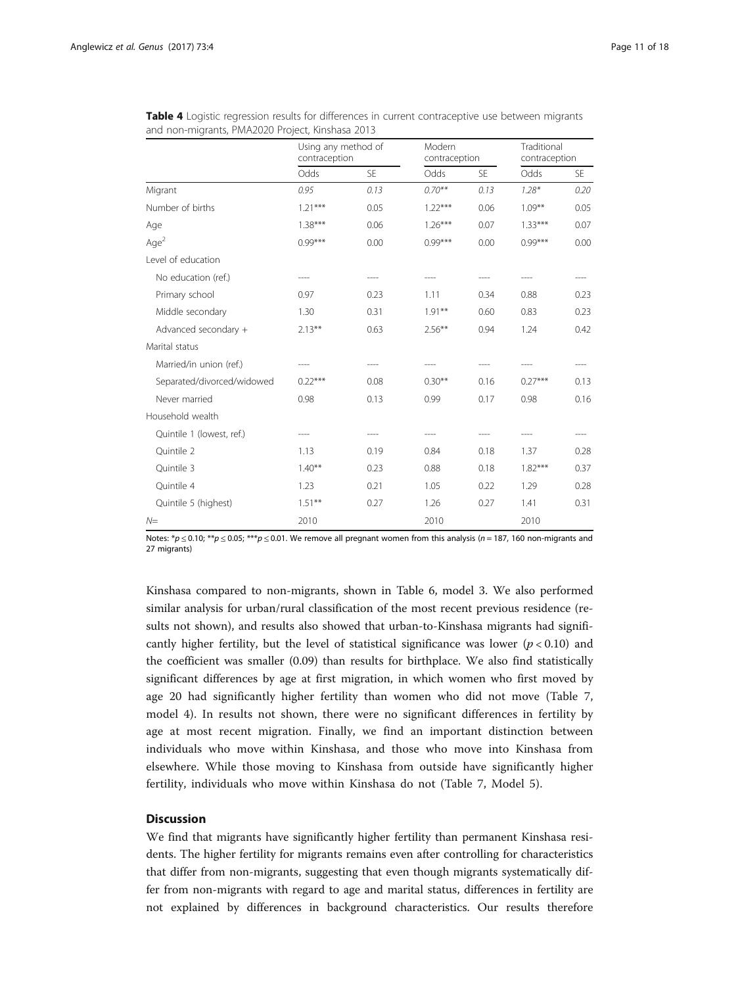|                            | Using any method of<br>contraception |           | Modern<br>contraception |           | Traditional<br>contraception |           |
|----------------------------|--------------------------------------|-----------|-------------------------|-----------|------------------------------|-----------|
|                            | Odds                                 | <b>SE</b> | Odds                    | <b>SE</b> | Odds                         | <b>SE</b> |
| Migrant                    | 0.95                                 | 0.13      | $0.70**$                | 0.13      | $1.28*$                      | 0.20      |
| Number of births           | $1.21***$                            | 0.05      | $1.22***$               | 0.06      | $1.09***$                    | 0.05      |
| Age                        | $1.38***$                            | 0.06      | $1.26***$               | 0.07      | $1.33***$                    | 0.07      |
| Age <sup>2</sup>           | $0.99***$                            | 0.00      | $0.99***$               | 0.00      | $0.99***$                    | 0.00      |
| Level of education         |                                      |           |                         |           |                              |           |
| No education (ref.)        |                                      |           |                         |           |                              |           |
| Primary school             | 0.97                                 | 0.23      | 1.11                    | 0.34      | 0.88                         | 0.23      |
| Middle secondary           | 1.30                                 | 0.31      | $1.91***$               | 0.60      | 0.83                         | 0.23      |
| Advanced secondary +       | $2.13***$                            | 0.63      | $2.56***$               | 0.94      | 1.24                         | 0.42      |
| Marital status             |                                      |           |                         |           |                              |           |
| Married/in union (ref.)    |                                      | ----      |                         |           |                              |           |
| Separated/divorced/widowed | $0.22***$                            | 0.08      | $0.30**$                | 0.16      | $0.27***$                    | 0.13      |
| Never married              | 0.98                                 | 0.13      | 0.99                    | 0.17      | 0.98                         | 0.16      |
| Household wealth           |                                      |           |                         |           |                              |           |
| Quintile 1 (lowest, ref.)  |                                      | $- - - -$ |                         |           |                              |           |
| Ouintile 2                 | 1.13                                 | 0.19      | 0.84                    | 0.18      | 1.37                         | 0.28      |
| Quintile 3                 | $1.40***$                            | 0.23      | 0.88                    | 0.18      | $1.82***$                    | 0.37      |
| Quintile 4                 | 1.23                                 | 0.21      | 1.05                    | 0.22      | 1.29                         | 0.28      |
| Quintile 5 (highest)       | $1.51***$                            | 0.27      | 1.26                    | 0.27      | 1.41                         | 0.31      |
| $N =$                      | 2010                                 |           | 2010                    |           | 2010                         |           |

<span id="page-10-0"></span>Table 4 Logistic regression results for differences in current contraceptive use between migrants and non-migrants, PMA2020 Project, Kinshasa 2013

Notes: \* $p \le 0.10$ ; \*\* $p \le 0.05$ ; \*\*\* $p \le 0.01$ . We remove all pregnant women from this analysis (n = 187, 160 non-migrants and 27 migrants)

Kinshasa compared to non-migrants, shown in Table [6](#page-12-0), model 3. We also performed similar analysis for urban/rural classification of the most recent previous residence (results not shown), and results also showed that urban-to-Kinshasa migrants had significantly higher fertility, but the level of statistical significance was lower ( $p < 0.10$ ) and the coefficient was smaller (0.09) than results for birthplace. We also find statistically significant differences by age at first migration, in which women who first moved by age 20 had significantly higher fertility than women who did not move (Table [7](#page-13-0), model 4). In results not shown, there were no significant differences in fertility by age at most recent migration. Finally, we find an important distinction between individuals who move within Kinshasa, and those who move into Kinshasa from elsewhere. While those moving to Kinshasa from outside have significantly higher fertility, individuals who move within Kinshasa do not (Table [7](#page-13-0), Model 5).

#### Discussion

We find that migrants have significantly higher fertility than permanent Kinshasa residents. The higher fertility for migrants remains even after controlling for characteristics that differ from non-migrants, suggesting that even though migrants systematically differ from non-migrants with regard to age and marital status, differences in fertility are not explained by differences in background characteristics. Our results therefore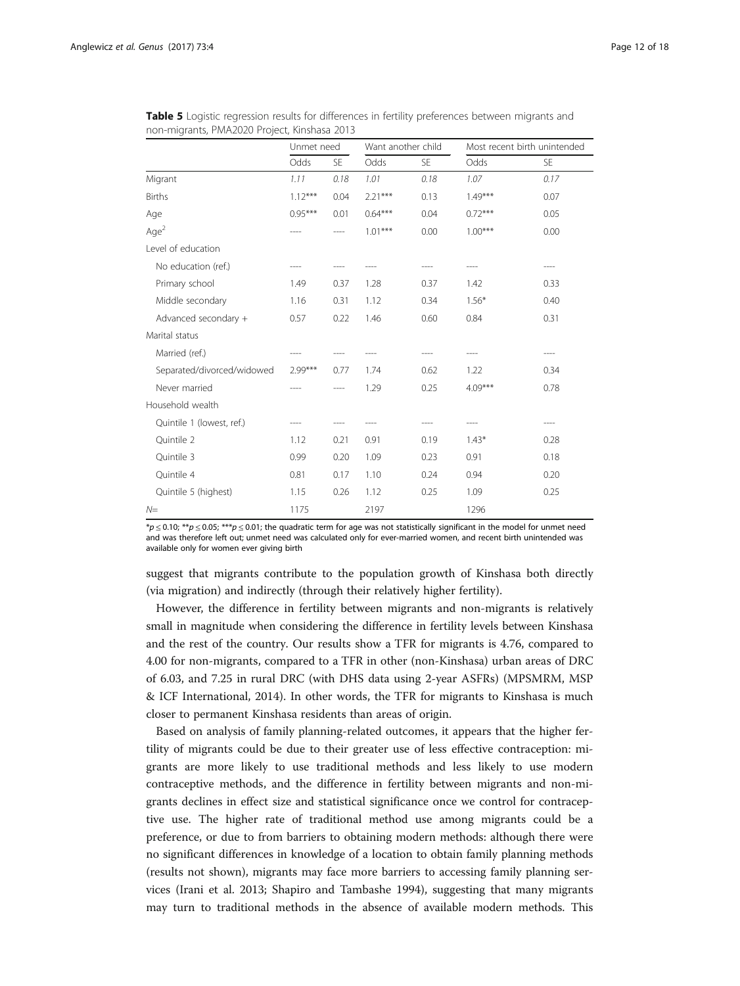|                            | Unmet need |           | Want another child |           |           | Most recent birth unintended |
|----------------------------|------------|-----------|--------------------|-----------|-----------|------------------------------|
|                            | Odds       | <b>SE</b> | Odds               | <b>SE</b> | Odds      | <b>SE</b>                    |
| Migrant                    | 1.11       | 0.18      | 1.01               | 0.18      | 1.07      | 0.17                         |
| <b>Births</b>              | $1.12***$  | 0.04      | $2.21***$          | 0.13      | $1.49***$ | 0.07                         |
| Age                        | $0.95***$  | 0.01      | $0.64***$          | 0.04      | $0.72***$ | 0.05                         |
| Age <sup>2</sup>           |            | ----      | $1.01***$          | 0.00      | $1.00***$ | 0.00                         |
| Level of education         |            |           |                    |           |           |                              |
| No education (ref.)        |            |           |                    |           |           | ----                         |
| Primary school             | 1.49       | 0.37      | 1.28               | 0.37      | 1.42      | 0.33                         |
| Middle secondary           | 1.16       | 0.31      | 1.12               | 0.34      | $1.56*$   | 0.40                         |
| Advanced secondary +       | 0.57       | 0.22      | 1.46               | 0.60      | 0.84      | 0.31                         |
| Marital status             |            |           |                    |           |           |                              |
| Married (ref.)             |            |           |                    |           |           | ----                         |
| Separated/divorced/widowed | $2.99***$  | 0.77      | 1.74               | 0.62      | 1.22      | 0.34                         |
| Never married              |            |           | 1.29               | 0.25      | $4.09***$ | 0.78                         |
| Household wealth           |            |           |                    |           |           |                              |
| Quintile 1 (lowest, ref.)  |            |           |                    |           |           | ----                         |
| Quintile 2                 | 1.12       | 0.21      | 0.91               | 0.19      | $1.43*$   | 0.28                         |
| Quintile 3                 | 0.99       | 0.20      | 1.09               | 0.23      | 0.91      | 0.18                         |
| Quintile 4                 | 0.81       | 0.17      | 1.10               | 0.24      | 0.94      | 0.20                         |
| Quintile 5 (highest)       | 1.15       | 0.26      | 1.12               | 0.25      | 1.09      | 0.25                         |
| $N =$                      | 1175       |           | 2197               |           | 1296      |                              |

<span id="page-11-0"></span>Table 5 Logistic regression results for differences in fertility preferences between migrants and non-migrants, PMA2020 Project, Kinshasa 2013

 $p \le 0.10$ ;  $p \le 0.05$ ;  $p \le 0.01$ ; the quadratic term for age was not statistically significant in the model for unmet need and was therefore left out; unmet need was calculated only for ever-married women, and recent birth unintended was available only for women ever giving birth

suggest that migrants contribute to the population growth of Kinshasa both directly (via migration) and indirectly (through their relatively higher fertility).

However, the difference in fertility between migrants and non-migrants is relatively small in magnitude when considering the difference in fertility levels between Kinshasa and the rest of the country. Our results show a TFR for migrants is 4.76, compared to 4.00 for non-migrants, compared to a TFR in other (non-Kinshasa) urban areas of DRC of 6.03, and 7.25 in rural DRC (with DHS data using 2-year ASFRs) (MPSMRM, MSP & ICF International, [2014\)](#page-17-0). In other words, the TFR for migrants to Kinshasa is much closer to permanent Kinshasa residents than areas of origin.

Based on analysis of family planning-related outcomes, it appears that the higher fertility of migrants could be due to their greater use of less effective contraception: migrants are more likely to use traditional methods and less likely to use modern contraceptive methods, and the difference in fertility between migrants and non-migrants declines in effect size and statistical significance once we control for contraceptive use. The higher rate of traditional method use among migrants could be a preference, or due to from barriers to obtaining modern methods: although there were no significant differences in knowledge of a location to obtain family planning methods (results not shown), migrants may face more barriers to accessing family planning services (Irani et al. [2013;](#page-17-0) Shapiro and Tambashe [1994\)](#page-17-0), suggesting that many migrants may turn to traditional methods in the absence of available modern methods. This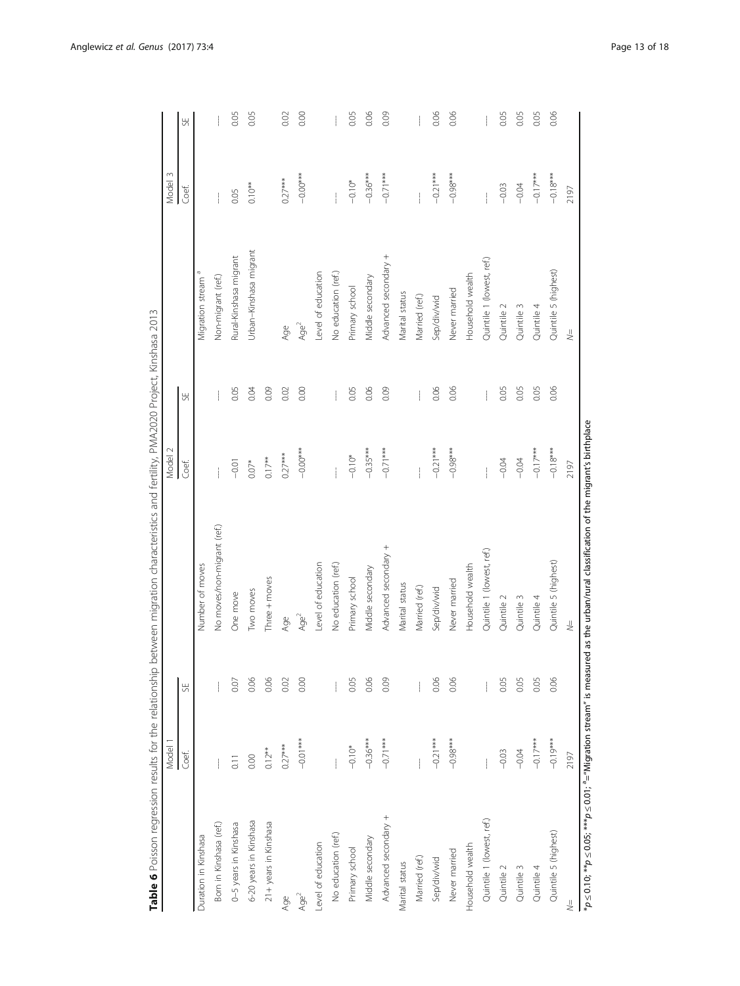| <b>Aline International Studies International International International Designation international Designation i</b> | Model 1           |      |                                                                                                                                                                                              | Model 2    |      |                               | Model 3    |      |
|----------------------------------------------------------------------------------------------------------------------|-------------------|------|----------------------------------------------------------------------------------------------------------------------------------------------------------------------------------------------|------------|------|-------------------------------|------------|------|
|                                                                                                                      | Coef.             | 띥    |                                                                                                                                                                                              | Coef.      | 9É   |                               | Coef.      | 닝    |
| Duration in Kinshasa                                                                                                 |                   |      | Number of moves                                                                                                                                                                              |            |      | Migration stream <sup>a</sup> |            |      |
| Born in Kinshasa (ref.)                                                                                              |                   |      | No moves/non-migrant (ref.)                                                                                                                                                                  | $\vdots$   |      | Non-migrant (ref.)            |            |      |
| 0-5 years in Kinshasa                                                                                                | $\overline{0.11}$ | 0.07 | One move                                                                                                                                                                                     | $-0.01$    | 0.05 | Rural-Kinshasa migrant        | 0.05       | 0.05 |
| 6-20 years in Kinshasa                                                                                               | 0.00              | 0.06 | Two moves                                                                                                                                                                                    | $0.07*$    | 0.04 | Urban-Kinshasa migrant        | $0.10***$  | 0.05 |
| 21+ years in Kinshasa                                                                                                | $0.12**$          | 0.06 | Three + moves                                                                                                                                                                                | $0.17**$   | 0.09 |                               |            |      |
| Age                                                                                                                  | $0.27***$         | 0.02 | Age                                                                                                                                                                                          | $0.27***$  | 0.02 | Age                           | $0.27***$  | 0.02 |
| Age <sup>2</sup>                                                                                                     | $-0.01***$        | 0.00 | Age <sup>2</sup>                                                                                                                                                                             | $-0.00***$ | 0.00 | Age <sup>2</sup>              | $-0.00***$ | 0.00 |
| Level of education                                                                                                   |                   |      | Level of education                                                                                                                                                                           |            |      | Level of education            |            |      |
| No education (ref.)                                                                                                  |                   |      | No education (ref.)                                                                                                                                                                          |            | j    | No education (ref.)           |            |      |
| Primary school                                                                                                       | $-0.10*$          | 0.05 | Primary school                                                                                                                                                                               | $-0.10*$   | 0.05 | Primary school                | $-0.10*$   | 0.05 |
| Middle secondary                                                                                                     | $-0.36***$        | 0.06 | Middle secondary                                                                                                                                                                             | $-0.35***$ | 0.06 | Middle secondary              | $-0.36***$ | 0.06 |
| Advanced secondary +                                                                                                 | $-0.71***$        | 0.09 | Advanced secondary +                                                                                                                                                                         | $-0.71***$ | 0.09 | Advanced secondary +          | $-0.71***$ | 0.09 |
| Marital status                                                                                                       |                   |      | Marital status                                                                                                                                                                               |            |      | Marital status                |            |      |
| Married (ref.)                                                                                                       |                   |      | Married (ref.)                                                                                                                                                                               |            |      | Married (ref.)                |            |      |
| Sep/div/wid                                                                                                          | $-0.21***$        | 0.06 | Sep/div/wid                                                                                                                                                                                  | $-0.21***$ | 0.06 | Sep/div/wid                   | $-0.21***$ | 0.06 |
| Never married                                                                                                        | $-0.98***$        | 0.06 | Never married                                                                                                                                                                                | $-0.98***$ | 0.06 | Never married                 | $-0.98***$ | 0.06 |
| Household wealth                                                                                                     |                   |      | Household wealth                                                                                                                                                                             |            |      | Household wealth              |            |      |
| Quintile 1 (lowest, ref.)                                                                                            |                   |      | Quintile 1 (lowest, ref.)                                                                                                                                                                    |            |      | Quintile 1 (lowest, ref.)     |            |      |
| Quintile 2                                                                                                           | $-0.03$           | 0.05 | Quintile 2                                                                                                                                                                                   | $-0.04$    | 0.05 | Quintile 2                    | $-0.03$    | 0.05 |
| Quintile 3                                                                                                           | $-0.04$           | 0.05 | Quintile 3                                                                                                                                                                                   | $-0.04$    | 0.05 | Quintile 3                    | $-0.04$    | 0.05 |
| Quintile 4                                                                                                           | $-0.17***$        | 0.05 | Quintile 4                                                                                                                                                                                   | $-0.17***$ | 0.05 | Quintile 4                    | $-0.17***$ | 0.05 |
| Quintile 5 (highest)                                                                                                 | $-0.19***$        | 0.06 | Quintile 5 (highest)                                                                                                                                                                         | $-0.18***$ | 0.06 | Quintile 5 (highest)          | $-0.18***$ | 0.06 |
| $\stackrel{\perp}{\geq}$                                                                                             | 2197              |      | $\stackrel{\perp}{\succ}$                                                                                                                                                                    | 2197       |      | $\leq$                        | 2197       |      |
|                                                                                                                      |                   |      | $*_\mathcal{P} \leq 0.10;$ $^{**}\mathcal{P} \leq 0.05;$ $^{***}\mathcal{P} \leq 0.01;$ $^{2e}$ "Migration stream" is measured as the urban/rural classification of the migrant's birthplace |            |      |                               |            |      |

Table 6 Poisson regression results for the relationship between migration characteristics and fertility, PMA2020 Project, Kinshasa 2013 Table 6 Poisson regression results for the relationship between migration characteristics and fertility, PMA2020 Project, Kinshasa 2013

<span id="page-12-0"></span>Anglewicz et al. Genus (2017) 73:4 Page 13 of 18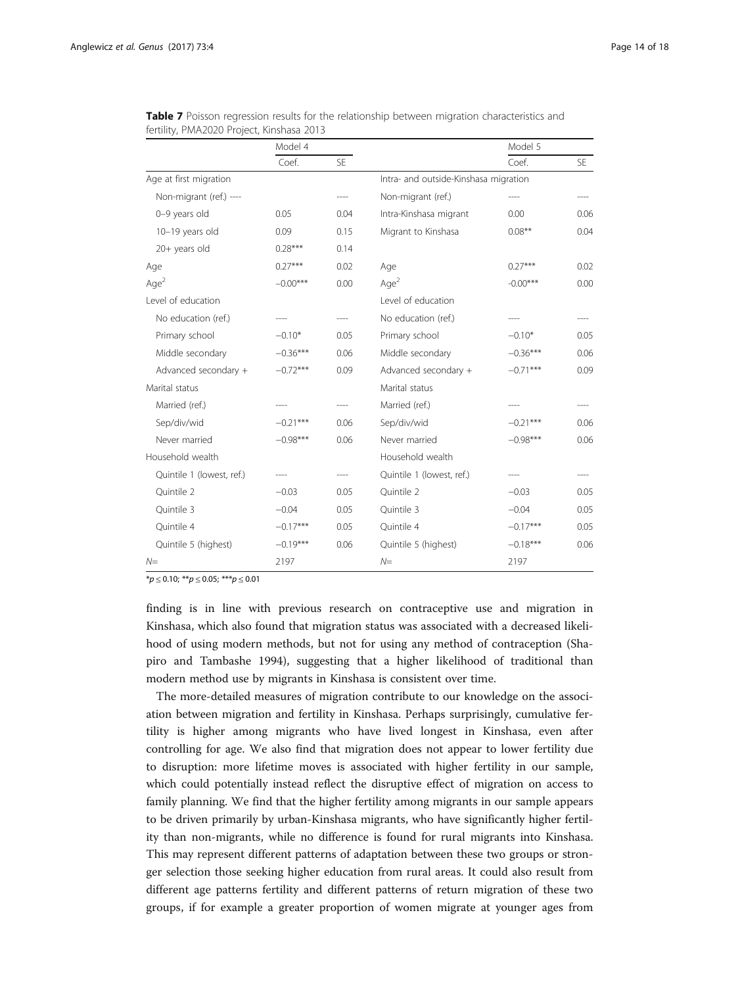|                           | Model 4    |           |                                       | Model 5    |           |
|---------------------------|------------|-----------|---------------------------------------|------------|-----------|
|                           | Coef.      | <b>SE</b> |                                       | Coef.      | <b>SE</b> |
| Age at first migration    |            |           | Intra- and outside-Kinshasa migration |            |           |
| Non-migrant (ref.) ----   |            | ----      | Non-migrant (ref.)                    |            |           |
| 0-9 years old             | 0.05       | 0.04      | Intra-Kinshasa migrant                | 0.00       | 0.06      |
| 10-19 years old           | 0.09       | 0.15      | Migrant to Kinshasa                   | $0.08***$  | 0.04      |
| 20+ years old             | $0.28***$  | 0.14      |                                       |            |           |
| Age                       | $0.27***$  | 0.02      | Age                                   | $0.27***$  | 0.02      |
| Aqe <sup>2</sup>          | $-0.00***$ | 0.00      | Age <sup>2</sup>                      | $-0.00***$ | 0.00      |
| Level of education        |            |           | Level of education                    |            |           |
| No education (ref.)       |            | ----      | No education (ref.)                   |            | ----      |
| Primary school            | $-0.10*$   | 0.05      | Primary school                        | $-0.10*$   | 0.05      |
| Middle secondary          | $-0.36***$ | 0.06      | Middle secondary                      | $-0.36***$ | 0.06      |
| Advanced secondary +      | $-0.72***$ | 0.09      | Advanced secondary +                  | $-0.71***$ | 0.09      |
| Marital status            |            |           | Marital status                        |            |           |
| Married (ref.)            |            |           | Married (ref.)                        |            |           |
| Sep/div/wid               | $-0.21***$ | 0.06      | Sep/div/wid                           | $-0.21***$ | 0.06      |
| Never married             | $-0.98***$ | 0.06      | Never married                         | $-0.98***$ | 0.06      |
| Household wealth          |            |           | Household wealth                      |            |           |
| Quintile 1 (lowest, ref.) |            |           | Quintile 1 (lowest, ref.)             |            |           |
| Quintile 2                | $-0.03$    | 0.05      | Quintile 2                            | $-0.03$    | 0.05      |
| Quintile 3                | $-0.04$    | 0.05      | Quintile 3                            | $-0.04$    | 0.05      |
| Quintile 4                | $-0.17***$ | 0.05      | Quintile 4                            | $-0.17***$ | 0.05      |
| Quintile 5 (highest)      | $-0.19***$ | 0.06      | Quintile 5 (highest)                  | $-0.18***$ | 0.06      |
| $N =$                     | 2197       |           | $N =$                                 | 2197       |           |

<span id="page-13-0"></span>Table 7 Poisson regression results for the relationship between migration characteristics and fertility, PMA2020 Project, Kinshasa 2013

 $\frac{1}{2}$  \*p  $\leq$  0.10; \*\*p  $\leq$  0.05; \*\*\*p  $\leq$  0.01

finding is in line with previous research on contraceptive use and migration in Kinshasa, which also found that migration status was associated with a decreased likelihood of using modern methods, but not for using any method of contraception (Shapiro and Tambashe [1994\)](#page-17-0), suggesting that a higher likelihood of traditional than modern method use by migrants in Kinshasa is consistent over time.

The more-detailed measures of migration contribute to our knowledge on the association between migration and fertility in Kinshasa. Perhaps surprisingly, cumulative fertility is higher among migrants who have lived longest in Kinshasa, even after controlling for age. We also find that migration does not appear to lower fertility due to disruption: more lifetime moves is associated with higher fertility in our sample, which could potentially instead reflect the disruptive effect of migration on access to family planning. We find that the higher fertility among migrants in our sample appears to be driven primarily by urban-Kinshasa migrants, who have significantly higher fertility than non-migrants, while no difference is found for rural migrants into Kinshasa. This may represent different patterns of adaptation between these two groups or stronger selection those seeking higher education from rural areas. It could also result from different age patterns fertility and different patterns of return migration of these two groups, if for example a greater proportion of women migrate at younger ages from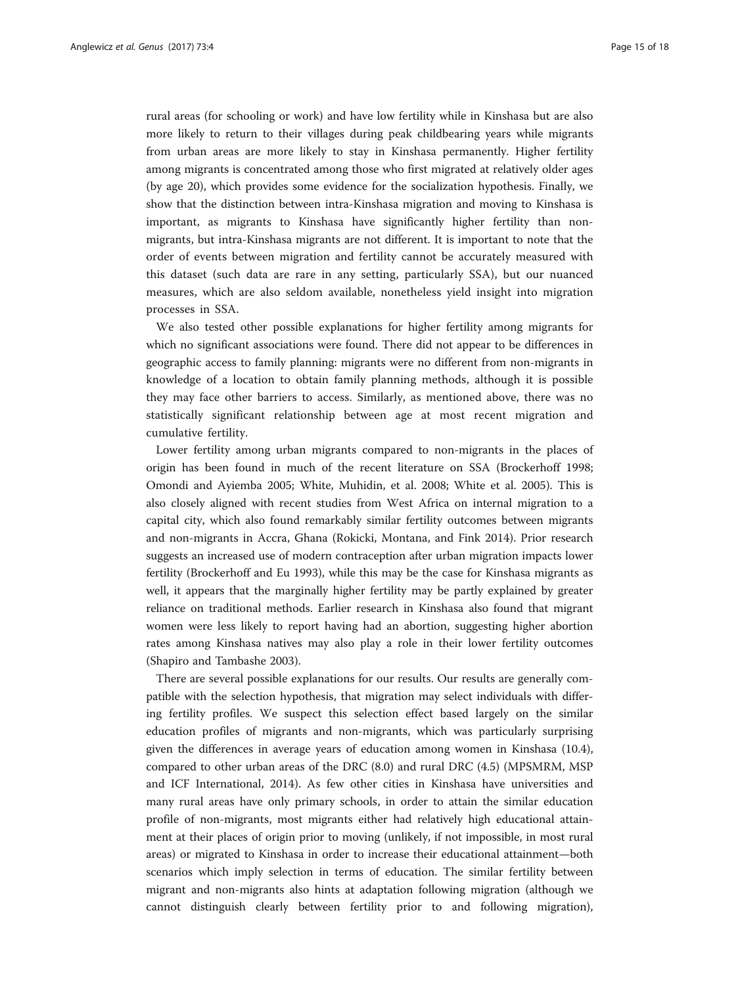rural areas (for schooling or work) and have low fertility while in Kinshasa but are also more likely to return to their villages during peak childbearing years while migrants from urban areas are more likely to stay in Kinshasa permanently. Higher fertility among migrants is concentrated among those who first migrated at relatively older ages (by age 20), which provides some evidence for the socialization hypothesis. Finally, we show that the distinction between intra-Kinshasa migration and moving to Kinshasa is important, as migrants to Kinshasa have significantly higher fertility than nonmigrants, but intra-Kinshasa migrants are not different. It is important to note that the order of events between migration and fertility cannot be accurately measured with this dataset (such data are rare in any setting, particularly SSA), but our nuanced measures, which are also seldom available, nonetheless yield insight into migration processes in SSA.

We also tested other possible explanations for higher fertility among migrants for which no significant associations were found. There did not appear to be differences in geographic access to family planning: migrants were no different from non-migrants in knowledge of a location to obtain family planning methods, although it is possible they may face other barriers to access. Similarly, as mentioned above, there was no statistically significant relationship between age at most recent migration and cumulative fertility.

Lower fertility among urban migrants compared to non-migrants in the places of origin has been found in much of the recent literature on SSA (Brockerhoff [1998](#page-16-0); Omondi and Ayiemba [2005;](#page-17-0) White, Muhidin, et al. [2008](#page-17-0); White et al. [2005\)](#page-17-0). This is also closely aligned with recent studies from West Africa on internal migration to a capital city, which also found remarkably similar fertility outcomes between migrants and non-migrants in Accra, Ghana (Rokicki, Montana, and Fink [2014](#page-17-0)). Prior research suggests an increased use of modern contraception after urban migration impacts lower fertility (Brockerhoff and Eu [1993](#page-16-0)), while this may be the case for Kinshasa migrants as well, it appears that the marginally higher fertility may be partly explained by greater reliance on traditional methods. Earlier research in Kinshasa also found that migrant women were less likely to report having had an abortion, suggesting higher abortion rates among Kinshasa natives may also play a role in their lower fertility outcomes (Shapiro and Tambashe [2003\)](#page-17-0).

There are several possible explanations for our results. Our results are generally compatible with the selection hypothesis, that migration may select individuals with differing fertility profiles. We suspect this selection effect based largely on the similar education profiles of migrants and non-migrants, which was particularly surprising given the differences in average years of education among women in Kinshasa (10.4), compared to other urban areas of the DRC (8.0) and rural DRC (4.5) (MPSMRM, MSP and ICF International, [2014](#page-17-0)). As few other cities in Kinshasa have universities and many rural areas have only primary schools, in order to attain the similar education profile of non-migrants, most migrants either had relatively high educational attainment at their places of origin prior to moving (unlikely, if not impossible, in most rural areas) or migrated to Kinshasa in order to increase their educational attainment—both scenarios which imply selection in terms of education. The similar fertility between migrant and non-migrants also hints at adaptation following migration (although we cannot distinguish clearly between fertility prior to and following migration),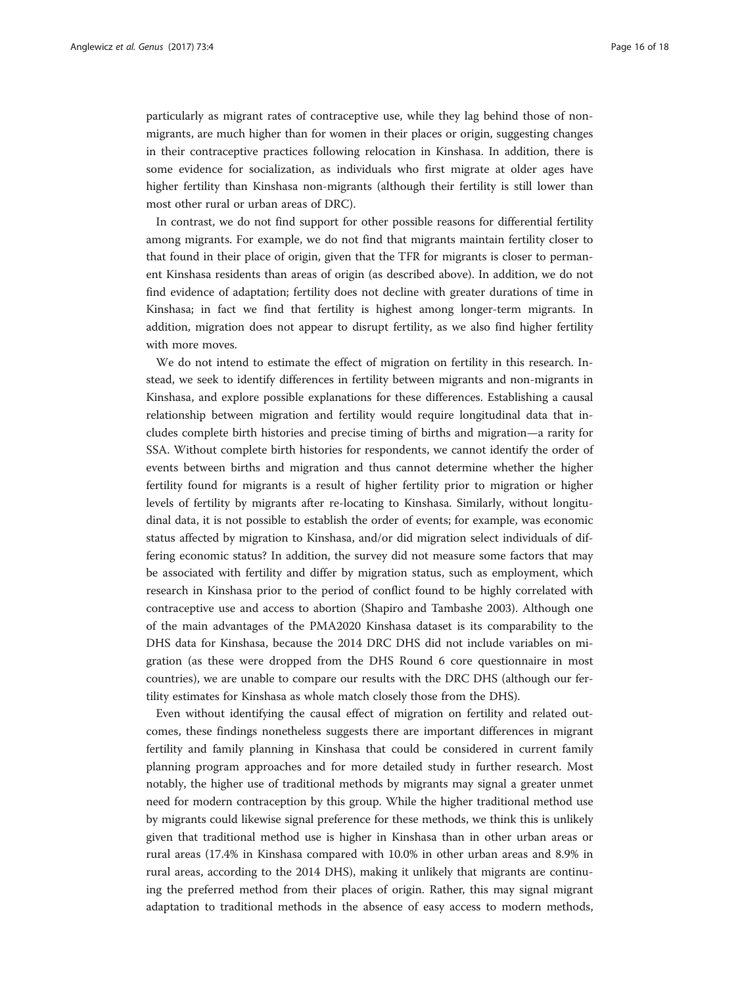particularly as migrant rates of contraceptive use, while they lag behind those of nonmigrants, are much higher than for women in their places or origin, suggesting changes in their contraceptive practices following relocation in Kinshasa. In addition, there is some evidence for socialization, as individuals who first migrate at older ages have higher fertility than Kinshasa non-migrants (although their fertility is still lower than most other rural or urban areas of DRC).

In contrast, we do not find support for other possible reasons for differential fertility among migrants. For example, we do not find that migrants maintain fertility closer to that found in their place of origin, given that the TFR for migrants is closer to permanent Kinshasa residents than areas of origin (as described above). In addition, we do not find evidence of adaptation; fertility does not decline with greater durations of time in Kinshasa; in fact we find that fertility is highest among longer-term migrants. In addition, migration does not appear to disrupt fertility, as we also find higher fertility with more moves.

We do not intend to estimate the effect of migration on fertility in this research. Instead, we seek to identify differences in fertility between migrants and non-migrants in Kinshasa, and explore possible explanations for these differences. Establishing a causal relationship between migration and fertility would require longitudinal data that includes complete birth histories and precise timing of births and migration—a rarity for SSA. Without complete birth histories for respondents, we cannot identify the order of events between births and migration and thus cannot determine whether the higher fertility found for migrants is a result of higher fertility prior to migration or higher levels of fertility by migrants after re-locating to Kinshasa. Similarly, without longitudinal data, it is not possible to establish the order of events; for example, was economic status affected by migration to Kinshasa, and/or did migration select individuals of differing economic status? In addition, the survey did not measure some factors that may be associated with fertility and differ by migration status, such as employment, which research in Kinshasa prior to the period of conflict found to be highly correlated with contraceptive use and access to abortion (Shapiro and Tambashe [2003\)](#page-17-0). Although one of the main advantages of the PMA2020 Kinshasa dataset is its comparability to the DHS data for Kinshasa, because the 2014 DRC DHS did not include variables on migration (as these were dropped from the DHS Round 6 core questionnaire in most countries), we are unable to compare our results with the DRC DHS (although our fertility estimates for Kinshasa as whole match closely those from the DHS).

Even without identifying the causal effect of migration on fertility and related outcomes, these findings nonetheless suggests there are important differences in migrant fertility and family planning in Kinshasa that could be considered in current family planning program approaches and for more detailed study in further research. Most notably, the higher use of traditional methods by migrants may signal a greater unmet need for modern contraception by this group. While the higher traditional method use by migrants could likewise signal preference for these methods, we think this is unlikely given that traditional method use is higher in Kinshasa than in other urban areas or rural areas (17.4% in Kinshasa compared with 10.0% in other urban areas and 8.9% in rural areas, according to the 2014 DHS), making it unlikely that migrants are continuing the preferred method from their places of origin. Rather, this may signal migrant adaptation to traditional methods in the absence of easy access to modern methods,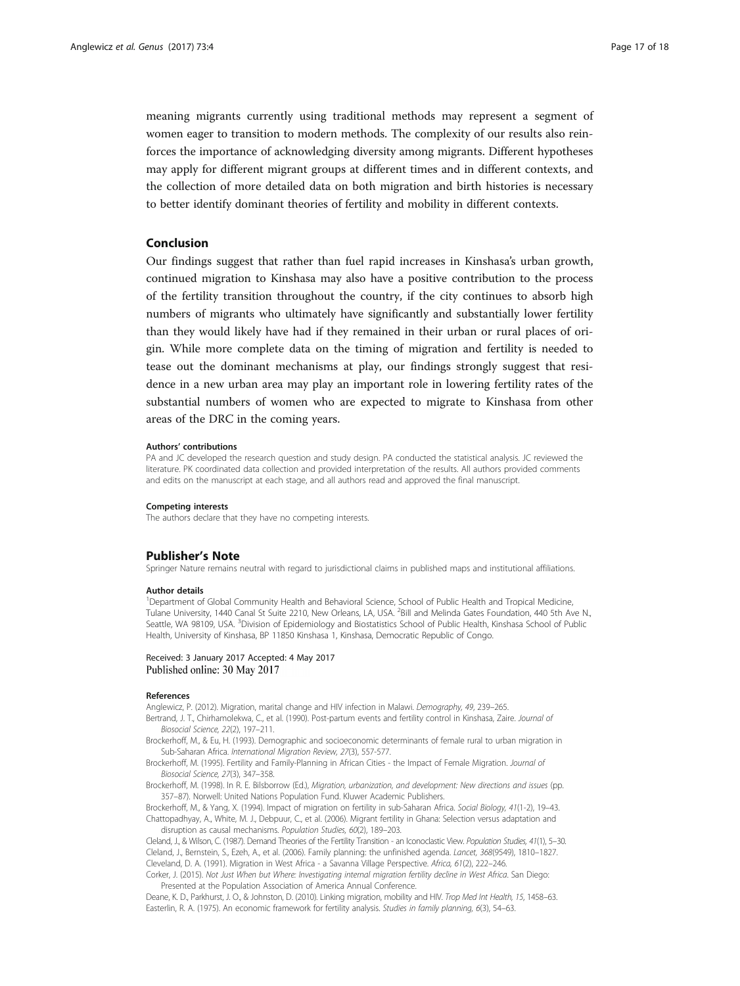<span id="page-16-0"></span>meaning migrants currently using traditional methods may represent a segment of women eager to transition to modern methods. The complexity of our results also reinforces the importance of acknowledging diversity among migrants. Different hypotheses may apply for different migrant groups at different times and in different contexts, and the collection of more detailed data on both migration and birth histories is necessary to better identify dominant theories of fertility and mobility in different contexts.

#### Conclusion

Our findings suggest that rather than fuel rapid increases in Kinshasa's urban growth, continued migration to Kinshasa may also have a positive contribution to the process of the fertility transition throughout the country, if the city continues to absorb high numbers of migrants who ultimately have significantly and substantially lower fertility than they would likely have had if they remained in their urban or rural places of origin. While more complete data on the timing of migration and fertility is needed to tease out the dominant mechanisms at play, our findings strongly suggest that residence in a new urban area may play an important role in lowering fertility rates of the substantial numbers of women who are expected to migrate to Kinshasa from other areas of the DRC in the coming years.

#### Authors' contributions

PA and JC developed the research question and study design. PA conducted the statistical analysis. JC reviewed the literature. PK coordinated data collection and provided interpretation of the results. All authors provided comments and edits on the manuscript at each stage, and all authors read and approved the final manuscript.

#### Competing interests

The authors declare that they have no competing interests.

#### Publisher's Note

Springer Nature remains neutral with regard to jurisdictional claims in published maps and institutional affiliations.

#### Author details

<sup>1</sup>Department of Global Community Health and Behavioral Science, School of Public Health and Tropical Medicine Tulane University, 1440 Canal St Suite 2210, New Orleans, LA, USA. <sup>2</sup>Bill and Melinda Gates Foundation, 440 5th Ave N. Seattle, WA 98109, USA. <sup>3</sup>Division of Epidemiology and Biostatistics School of Public Health, Kinshasa School of Public Health, University of Kinshasa, BP 11850 Kinshasa 1, Kinshasa, Democratic Republic of Congo.

#### Received: 3 January 2017 Accepted: 4 May 2017 Published online: 30 May 2017

#### References

Anglewicz, P. (2012). Migration, marital change and HIV infection in Malawi. Demography, 49, 239–265.

- Bertrand, J. T., Chirhamolekwa, C., et al. (1990). Post-partum events and fertility control in Kinshasa, Zaire. Journal of Biosocial Science, 22(2), 197–211.
- Brockerhoff, M., & Eu, H. (1993). Demographic and socioeconomic determinants of female rural to urban migration in Sub-Saharan Africa. International Migration Review, 27(3), 557-577.
- Brockerhoff, M. (1995). Fertility and Family-Planning in African Cities the Impact of Female Migration. Journal of Biosocial Science, 27(3), 347–358.
- Brockerhoff, M. (1998). In R. E. Bilsborrow (Ed.), Migration, urbanization, and development: New directions and issues (pp. 357–87). Norwell: United Nations Population Fund. Kluwer Academic Publishers.

Brockerhoff, M., & Yang, X. (1994). Impact of migration on fertility in sub-Saharan Africa. Social Biology, 41(1-2), 19–43. Chattopadhyay, A., White, M. J., Debpuur, C., et al. (2006). Migrant fertility in Ghana: Selection versus adaptation and disruption as causal mechanisms. Population Studies, 60(2), 189–203.

Cleland, J., & Wilson, C. (1987). Demand Theories of the Fertility Transition - an Iconoclastic View. Population Studies, 41(1), 5–30. Cleland, J., Bernstein, S., Ezeh, A., et al. (2006). Family planning: the unfinished agenda. Lancet, 368(9549), 1810–1827. Cleveland, D. A. (1991). Migration in West Africa - a Savanna Village Perspective. Africa, 61(2), 222–246. Corker, J. (2015). Not Just When but Where: Investigating internal migration fertility decline in West Africa. San Diego:

Presented at the Population Association of America Annual Conference.

Deane, K. D., Parkhurst, J. O., & Johnston, D. (2010). Linking migration, mobility and HIV. Trop Med Int Health, 15, 1458–63. Easterlin, R. A. (1975). An economic framework for fertility analysis. Studies in family planning, 6(3), 54–63.